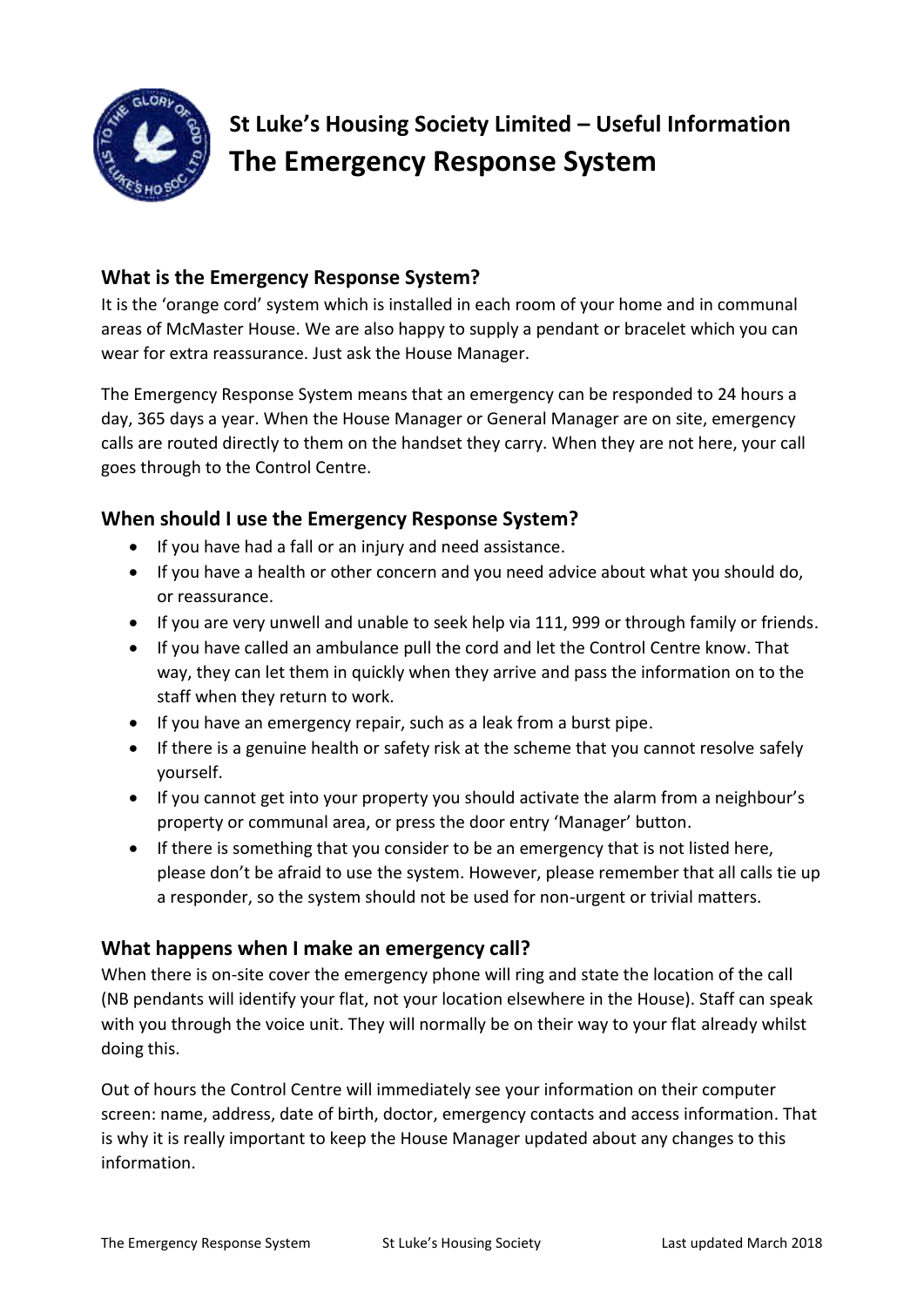

# **St Luke's Housing Society Limited – Useful Information The Emergency Response System**

## **What is the Emergency Response System?**

It is the 'orange cord' system which is installed in each room of your home and in communal areas of McMaster House. We are also happy to supply a pendant or bracelet which you can wear for extra reassurance. Just ask the House Manager.

The Emergency Response System means that an emergency can be responded to 24 hours a day, 365 days a year. When the House Manager or General Manager are on site, emergency calls are routed directly to them on the handset they carry. When they are not here, your call goes through to the Control Centre.

#### **When should I use the Emergency Response System?**

- If you have had a fall or an injury and need assistance.
- If you have a health or other concern and you need advice about what you should do, or reassurance.
- If you are very unwell and unable to seek help via 111, 999 or through family or friends.
- If you have called an ambulance pull the cord and let the Control Centre know. That way, they can let them in quickly when they arrive and pass the information on to the staff when they return to work.
- If you have an emergency repair, such as a leak from a burst pipe.
- If there is a genuine health or safety risk at the scheme that you cannot resolve safely yourself.
- If you cannot get into your property you should activate the alarm from a neighbour's property or communal area, or press the door entry 'Manager' button.
- If there is something that you consider to be an emergency that is not listed here, please don't be afraid to use the system. However, please remember that all calls tie up a responder, so the system should not be used for non-urgent or trivial matters.

#### **What happens when I make an emergency call?**

When there is on-site cover the emergency phone will ring and state the location of the call (NB pendants will identify your flat, not your location elsewhere in the House). Staff can speak with you through the voice unit. They will normally be on their way to your flat already whilst doing this.

Out of hours the Control Centre will immediately see your information on their computer screen: name, address, date of birth, doctor, emergency contacts and access information. That is why it is really important to keep the House Manager updated about any changes to this information.